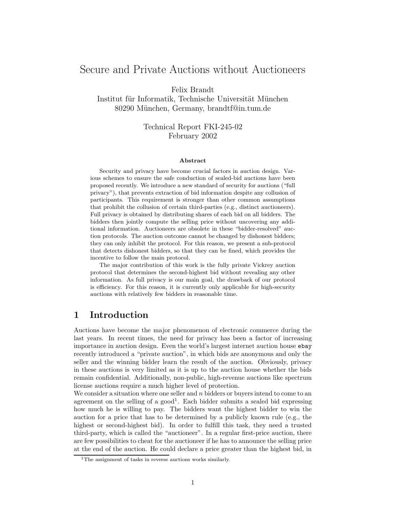# Secure and Private Auctions without Auctioneers

Felix Brandt

Institut für Informatik, Technische Universität München 80290 München, Germany, brandtf@in.tum.de

> Technical Report FKI-245-02 February 2002

#### Abstract

Security and privacy have become crucial factors in auction design. Various schemes to ensure the safe conduction of sealed-bid auctions have been proposed recently. We introduce a new standard of security for auctions ("full privacy"), that prevents extraction of bid information despite any collusion of participants. This requirement is stronger than other common assumptions that prohibit the collusion of certain third-parties (e.g., distinct auctioneers). Full privacy is obtained by distributing shares of each bid on all bidders. The bidders then jointly compute the selling price without uncovering any additional information. Auctioneers are obsolete in these "bidder-resolved" auction protocols. The auction outcome cannot be changed by dishonest bidders; they can only inhibit the protocol. For this reason, we present a sub-protocol that detects dishonest bidders, so that they can be fined, which provides the incentive to follow the main protocol.

The major contribution of this work is the fully private Vickrey auction protocol that determines the second-highest bid without revealing any other information. As full privacy is our main goal, the drawback of our protocol is efficiency. For this reason, it is currently only applicable for high-security auctions with relatively few bidders in reasonable time.

## 1 Introduction

Auctions have become the major phenomenon of electronic commerce during the last years. In recent times, the need for privacy has been a factor of increasing importance in auction design. Even the world's largest internet auction house ebay recently introduced a "private auction", in which bids are anonymous and only the seller and the winning bidder learn the result of the auction. Obviously, privacy in these auctions is very limited as it is up to the auction house whether the bids remain confidential. Additionally, non-public, high-revenue auctions like spectrum license auctions require a much higher level of protection.

We consider a situation where one seller and  $n$  bidders or buyers intend to come to an agreement on the selling of a good 1 . Each bidder submits a sealed bid expressing how much he is willing to pay. The bidders want the highest bidder to win the auction for a price that has to be determined by a publicly known rule (e.g., the highest or second-highest bid). In order to fulfill this task, they need a trusted third-party, which is called the "auctioneer". In a regular first-price auction, there are few possibilities to cheat for the auctioneer if he has to announce the selling price at the end of the auction. He could declare a price greater than the highest bid, in

<sup>&</sup>lt;sup>1</sup>The assignment of tasks in reverse auctions works similarly.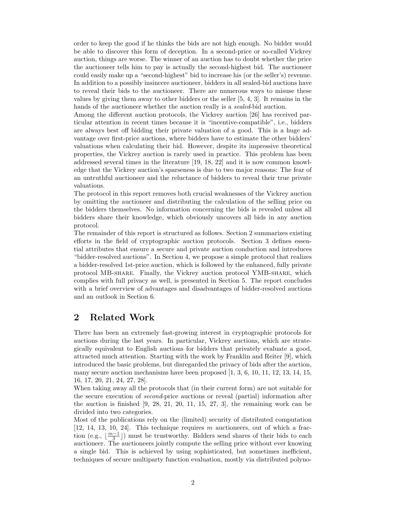order to keep the good if he thinks the bids are not high enough. No bidder would be able to discover this form of deception. In a second-price or so-called Vickrey auction, things are worse. The winner of an auction has to doubt whether the price the auctioneer tells him to pay is actually the second-highest bid. The auctioneer could easily make up a "second-highest" bid to increase his (or the seller's) revenue. In addition to a possibly insincere auctioneer, bidders in all sealed-bid auctions have to reveal their bids to the auctioneer. There are numerous ways to misuse these values by giving them away to other bidders or the seller [5, 4, 3]. It remains in the hands of the auctioneer whether the auction really is a *sealed*-bid auction.

Among the different auction protocols, the Vickrey auction [26] has received particular attention in recent times because it is "incentive-compatible", i.e., bidders are always best off bidding their private valuation of a good. This is a huge advantage over first-price auctions, where bidders have to estimate the other bidders' valuations when calculating their bid. However, despite its impressive theoretical properties, the Vickrey auction is rarely used in practice. This problem has been addressed several times in the literature [19, 18, 22] and it is now common knowledge that the Vickrey auction's sparseness is due to two major reasons: The fear of an untruthful auctioneer and the reluctance of bidders to reveal their true private valuations.

The protocol in this report removes both crucial weaknesses of the Vickrey auction by omitting the auctioneer and distributing the calculation of the selling price on the bidders themselves. No information concerning the bids is revealed unless all bidders share their knowledge, which obviously uncovers all bids in any auction protocol.

The remainder of this report is structured as follows. Section 2 summarizes existing efforts in the field of cryptographic auction protocols. Section 3 defines essential attributes that ensure a secure and private auction conduction and introduces "bidder-resolved auctions". In Section 4, we propose a simple protocol that realizes a bidder-resolved 1st-price auction, which is followed by the enhanced, fully private protocol MB-share. Finally, the Vickrey auction protocol YMB-share, which complies with full privacy as well, is presented in Section 5. The report concludes with a brief overview of advantages and disadvantages of bidder-resolved auctions and an outlook in Section 6.

## 2 Related Work

There has been an extremely fast-growing interest in cryptographic protocols for auctions during the last years. In particular, Vickrey auctions, which are strategically equivalent to English auctions for bidders that privately evaluate a good, attracted much attention. Starting with the work by Franklin and Reiter [9], which introduced the basic problems, but disregarded the privacy of bids after the auction, many secure auction mechanisms have been proposed  $[1, 3, 6, 10, 11, 12, 13, 14, 15,$ 16, 17, 20, 21, 24, 27, 28].

When taking away all the protocols that (in their current form) are not suitable for the secure execution of second-price auctions or reveal (partial) information after the auction is finished  $[9, 28, 21, 20, 11, 15, 27, 3]$ , the remaining work can be divided into two categories.

Most of the publications rely on the (limited) security of distributed computation [12, 14, 13, 10, 24]. This technique requires m auctioneers, out of which a fraction (e.g.,  $\lfloor \frac{m-1}{3} \rfloor$ ) must be trustworthy. Bidders send shares of their bids to each auctioneer. The auctioneers jointly compute the selling price without ever knowing a single bid. This is achieved by using sophisticated, but sometimes inefficient, techniques of secure multiparty function evaluation, mostly via distributed polyno-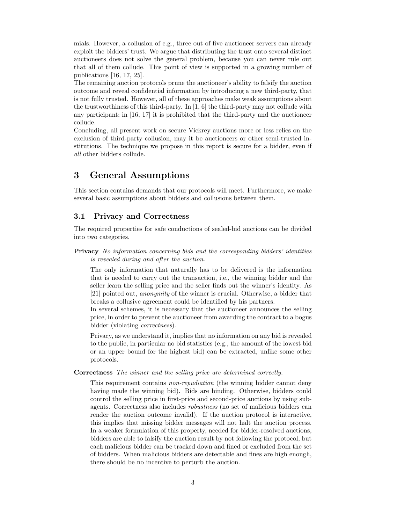mials. However, a collusion of e.g., three out of five auctioneer servers can already exploit the bidders' trust. We argue that distributing the trust onto several distinct auctioneers does not solve the general problem, because you can never rule out that all of them collude. This point of view is supported in a growing number of publications [16, 17, 25].

The remaining auction protocols prune the auctioneer's ability to falsify the auction outcome and reveal confidential information by introducing a new third-party, that is not fully trusted. However, all of these approaches make weak assumptions about the trustworthiness of this third-party. In [1, 6] the third-party may not collude with any participant; in [16, 17] it is prohibited that the third-party and the auctioneer collude.

Concluding, all present work on secure Vickrey auctions more or less relies on the exclusion of third-party collusion, may it be auctioneers or other semi-trusted institutions. The technique we propose in this report is secure for a bidder, even if all other bidders collude.

## 3 General Assumptions

This section contains demands that our protocols will meet. Furthermore, we make several basic assumptions about bidders and collusions between them.

## 3.1 Privacy and Correctness

The required properties for safe conductions of sealed-bid auctions can be divided into two categories.

### Privacy No information concerning bids and the corresponding bidders' identities is revealed during and after the auction.

The only information that naturally has to be delivered is the information that is needed to carry out the transaction, i.e., the winning bidder and the seller learn the selling price and the seller finds out the winner's identity. As [21] pointed out, anonymity of the winner is crucial. Otherwise, a bidder that breaks a collusive agreement could be identified by his partners.

In several schemes, it is necessary that the auctioneer announces the selling price, in order to prevent the auctioneer from awarding the contract to a bogus bidder (violating *correctness*).

Privacy, as we understand it, implies that no information on any bid is revealed to the public, in particular no bid statistics (e.g., the amount of the lowest bid or an upper bound for the highest bid) can be extracted, unlike some other protocols.

### Correctness The winner and the selling price are determined correctly.

This requirement contains non-repudiation (the winning bidder cannot deny having made the winning bid). Bids are binding. Otherwise, bidders could control the selling price in first-price and second-price auctions by using subagents. Correctness also includes robustness (no set of malicious bidders can render the auction outcome invalid). If the auction protocol is interactive, this implies that missing bidder messages will not halt the auction process. In a weaker formulation of this property, needed for bidder-resolved auctions, bidders are able to falsify the auction result by not following the protocol, but each malicious bidder can be tracked down and fined or excluded from the set of bidders. When malicious bidders are detectable and fines are high enough, there should be no incentive to perturb the auction.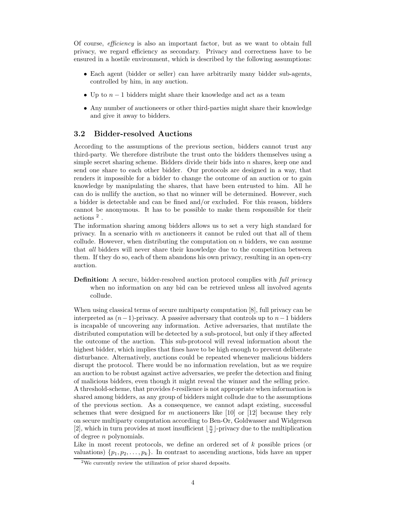Of course, efficiency is also an important factor, but as we want to obtain full privacy, we regard efficiency as secondary. Privacy and correctness have to be ensured in a hostile environment, which is described by the following assumptions:

- Each agent (bidder or seller) can have arbitrarily many bidder sub-agents, controlled by him, in any auction.
- Up to  $n-1$  bidders might share their knowledge and act as a team
- Any number of auctioneers or other third-parties might share their knowledge and give it away to bidders.

### 3.2 Bidder-resolved Auctions

According to the assumptions of the previous section, bidders cannot trust any third-party. We therefore distribute the trust onto the bidders themselves using a simple secret sharing scheme. Bidders divide their bids into  $n$  shares, keep one and send one share to each other bidder. Our protocols are designed in a way, that renders it impossible for a bidder to change the outcome of an auction or to gain knowledge by manipulating the shares, that have been entrusted to him. All he can do is nullify the auction, so that no winner will be determined. However, such a bidder is detectable and can be fined and/or excluded. For this reason, bidders cannot be anonymous. It has to be possible to make them responsible for their actions <sup>2</sup> .

The information sharing among bidders allows us to set a very high standard for privacy. In a scenario with  $m$  auctioneers it cannot be ruled out that all of them collude. However, when distributing the computation on  $n$  bidders, we can assume that all bidders will never share their knowledge due to the competition between them. If they do so, each of them abandons his own privacy, resulting in an open-cry auction.

**Definition:** A secure, bidder-resolved auction protocol complies with *full privacy* when no information on any bid can be retrieved unless all involved agents collude.

When using classical terms of secure multiparty computation [8], full privacy can be interpreted as  $(n-1)$ -privacy. A passive adversary that controls up to  $n-1$  bidders is incapable of uncovering any information. Active adversaries, that mutilate the distributed computation will be detected by a sub-protocol, but only if they affected the outcome of the auction. This sub-protocol will reveal information about the highest bidder, which implies that fines have to be high enough to prevent deliberate disturbance. Alternatively, auctions could be repeated whenever malicious bidders disrupt the protocol. There would be no information revelation, but as we require an auction to be robust against active adversaries, we prefer the detection and fining of malicious bidders, even though it might reveal the winner and the selling price. A threshold-scheme, that provides t-resilience is not appropriate when information is shared among bidders, as any group of bidders might collude due to the assumptions of the previous section. As a consequence, we cannot adapt existing, successful schemes that were designed for m auctioneers like  $[10]$  or  $[12]$  because they rely on secure multiparty computation according to Ben-Or, Goldwasser and Widgerson [2], which in turn provides at most insufficient  $\lfloor \frac{n}{2} \rfloor$ -privacy due to the multiplication of degree n polynomials.

Like in most recent protocols, we define an ordered set of k possible prices (or valuations)  $\{p_1, p_2, \ldots, p_k\}$ . In contrast to ascending auctions, bids have an upper

<sup>&</sup>lt;sup>2</sup>We currently review the utilization of prior shared deposits.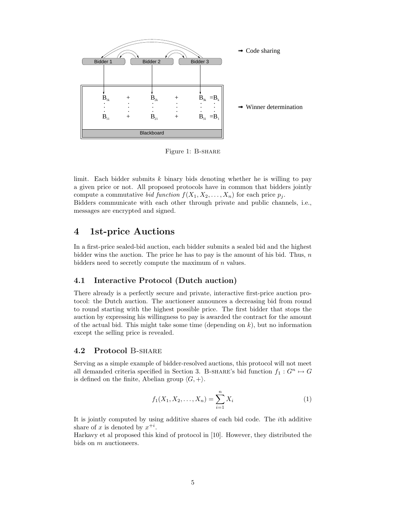

Figure 1: B-share

limit. Each bidder submits  $k$  binary bids denoting whether he is willing to pay a given price or not. All proposed protocols have in common that bidders jointly compute a commutative *bid function*  $f(X_1, X_2, \ldots, X_n)$  for each price  $p_i$ . Bidders communicate with each other through private and public channels, i.e., messages are encrypted and signed.

## 4 1st-price Auctions

In a first-price sealed-bid auction, each bidder submits a sealed bid and the highest bidder wins the auction. The price he has to pay is the amount of his bid. Thus,  $n$ bidders need to secretly compute the maximum of  $n$  values.

## 4.1 Interactive Protocol (Dutch auction)

There already is a perfectly secure and private, interactive first-price auction protocol: the Dutch auction. The auctioneer announces a decreasing bid from round to round starting with the highest possible price. The first bidder that stops the auction by expressing his willingness to pay is awarded the contract for the amount of the actual bid. This might take some time (depending on  $k$ ), but no information except the selling price is revealed.

### 4.2 Protocol B-share

Serving as a simple example of bidder-resolved auctions, this protocol will not meet all demanded criteria specified in Section 3. B-SHARE's bid function  $f_1 : G^n \rightarrow G$ is defined on the finite, Abelian group  $\langle G, + \rangle$ .

$$
f_1(X_1, X_2, \dots, X_n) = \sum_{i=1}^n X_i
$$
 (1)

It is jointly computed by using additive shares of each bid code. The ith additive share of x is denoted by  $x^{+i}$ .

Harkavy et al proposed this kind of protocol in [10]. However, they distributed the bids on m auctioneers.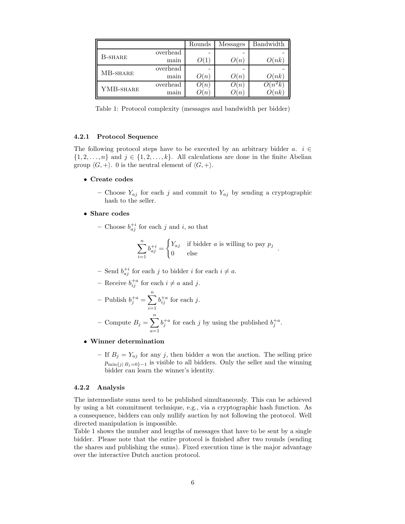|           |          | Rounds           | <b>Messages</b>     | Bandwidth |
|-----------|----------|------------------|---------------------|-----------|
| B-SHARE   | overhead |                  |                     |           |
|           | main     |                  | $\mathcal{Y}(n)$    | O(nk)     |
| MB-SHARE  | overhead |                  |                     |           |
|           | main     | $\mathcal{D}(n)$ | $\lambda(n)$        | O(nk)     |
| YMB-SHARE | overhead | $\binom{n}{k}$   | n                   |           |
|           | main     | $\mathcal{D}(n)$ | $\lfloor n \rfloor$ | (nk)      |

Table 1: Protocol complexity (messages and bandwidth per bidder)

#### 4.2.1 Protocol Sequence

The following protocol steps have to be executed by an arbitrary bidder a.  $i \in$  $\{1, 2, \ldots, n\}$  and  $j \in \{1, 2, \ldots, k\}$ . All calculations are done in the finite Abelian group  $\langle G, + \rangle$ . 0 is the neutral element of  $\langle G, + \rangle$ .

• Create codes

– Choose  $Y_{aj}$  for each j and commit to  $Y_{aj}$  by sending a cryptographic hash to the seller.

- Share codes
	- Choose  $b_{aj}^{+i}$  for each j and i, so that

$$
\sum_{i=1}^{n} b_{aj}^{+i} = \begin{cases} Y_{aj} & \text{if bidder } a \text{ is willing to pay } p_j \\ 0 & \text{else} \end{cases}
$$

.

- Send  $b_{aj}^{+i}$  for each j to bidder i for each  $i \neq a$ .
- Receive  $b_{ij}^{+a}$  for each  $i \neq a$  and j.

- Publishing 
$$
b_j^{+a} = \sum_{i=1}^n b_{ij}^{+a}
$$
 for each j.

- Compute  $B_j = \sum_{i=1}^n$  $a=1$  $b_j^{+a}$  for each j by using the published  $b_j^{+a}$ .

#### • Winner determination

– If  $B_j = Y_{aj}$  for any j, then bidder a won the auction. The selling price  $p_{\min\{j \mid B_j=0\}-1}$  is visible to all bidders. Only the seller and the winning bidder can learn the winner's identity.

#### 4.2.2 Analysis

The intermediate sums need to be published simultaneously. This can be achieved by using a bit commitment technique, e.g., via a cryptographic hash function. As a consequence, bidders can only nullify auction by not following the protocol. Well directed manipulation is impossible.

Table 1 shows the number and lengths of messages that have to be sent by a single bidder. Please note that the entire protocol is finished after two rounds (sending the shares and publishing the sums). Fixed execution time is the major advantage over the interactive Dutch auction protocol.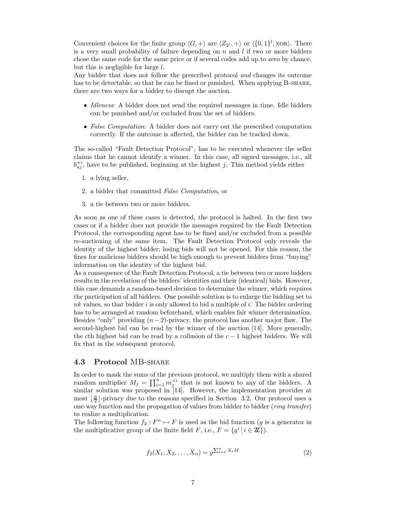Convenient choices for the finite group  $\langle G, + \rangle$  are  $\langle Z_{2^l}, + \rangle$  or  $\langle \{0, 1\}^l$ , xor $\rangle$ . There is a very small probability of failure depending on  $n$  and  $l$  if two or more bidders chose the same code for the same price or if several codes add up to zero by chance, but this is negligible for large  $l$ .

Any bidder that does not follow the prescribed protocol and changes its outcome has to be detectable, so that he can be fined or punished. When applying B-SHARE, there are two ways for a bidder to disrupt the auction.

- Idleness: A bidder does not send the required messages in time. Idle bidders can be punished and/or excluded from the set of bidders.
- False Computation: A bidder does not carry out the prescribed computation correctly. If the outcome is affected, the bidder can be tracked down.

The so-called "Fault Detection Protocol", has to be executed whenever the seller claims that he cannot identify a winner. In this case, all signed messages, i.e., all  $b_{aj}^{+i}$ , have to be published, beginning at the highest j. This method yields either

- 1. a lying seller,
- 2. a bidder that committed False Computation, or
- 3. a tie between two or more bidders.

As soon as one of these cases is detected, the protocol is halted. In the first two cases or if a bidder does not provide the messages required by the Fault Detection Protocol, the corresponding agent has to be fined and/or excluded from a possible re-auctioning of the same item. The Fault Detection Protocol only reveals the identity of the highest bidder; losing bids will not be opened. For this reason, the fines for malicious bidders should be high enough to prevent bidders from "buying" information on the identity of the highest bid.

As a consequence of the Fault Detection Protocol, a tie between two or more bidders results in the revelation of the bidders' identities and their (identical) bids. However, this case demands a random-based decision to determine the winner, which requires the participation of all bidders. One possible solution is to enlarge the bidding set to  $nk$  values, so that bidder i is only allowed to bid a multiple of i. The bidder ordering has to be arranged at random beforehand, which enables fair winner determination. Besides "only" providing  $(n-2)$ -privacy, the protocol has another major flaw. The second-highest bid can be read by the winner of the auction [14]. More generally, the cth highest bid can be read by a collusion of the  $c - 1$  highest bidders. We will fix that in the subsequent protocol.

#### 4.3 Protocol MB-share

In order to mask the sums of the previous protocol, we multiply them with a shared random multiplier  $M_j = \prod_{i=1}^n m_j^{\times i}$  that is not known to any of the bidders. A similar solution was proposed in [14]. However, the implementation provides at most  $\lfloor \frac{n}{2} \rfloor$ -privacy due to the reasons specified in Section 3.2. Our protocol uses a one-way function and the propagation of values from bidder to bidder (ring transfer) to realize a multiplication.

The following function  $f_2 : F^n \mapsto F$  is used as the bid function (g is a generator in the multiplicative group of the finite field F, i.e.,  $F = \{g^i | i \in \mathbb{Z}\}\)$ .

$$
f_2(X_1, X_2, \dots, X_n) = g^{\sum_{i=1}^n X_i M}
$$
 (2)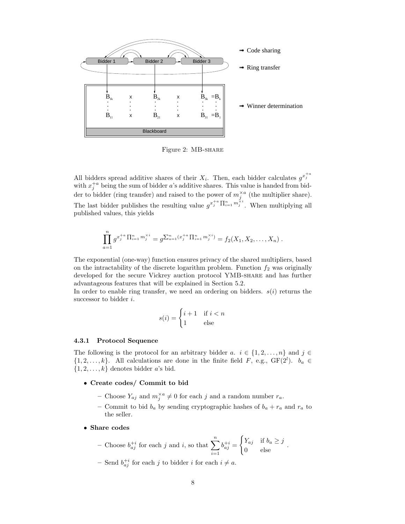

Figure 2: MB-share

All bidders spread additive shares of their  $X_i$ . Then, each bidder calculates  $g^{x_i^{+a}}$ with  $x_j^{+a}$  being the sum of bidder a's additive shares. This value is handed from bidder to bidder (ring transfer) and raised to the power of  $m_j^{\times a}$  (the multiplier share). The last bidder publishes the resulting value  $g^{x_i^+ a} \prod_{i=1}^n m_i^{\times i}$ . When multiplying all published values, this yields

$$
\prod_{a=1}^n g^{x_j^{+a} \prod_{i=1}^n m_j^{\times i}} = g^{\sum_{a=1}^n (x_j^{+a} \prod_{i=1}^n m_j^{\times i})} = f_2(X_1, X_2, \dots, X_n) .
$$

The exponential (one-way) function ensures privacy of the shared multipliers, based on the intractability of the discrete logarithm problem. Function  $f_2$  was originally developed for the secure Vickrey auction protocol YMB-share and has further advantageous features that will be explained in Section 5.2.

In order to enable ring transfer, we need an ordering on bidders.  $s(i)$  returns the successor to bidder *i*.

$$
s(i) = \begin{cases} i+1 & \text{if } i < n \\ 1 & \text{else} \end{cases}
$$

#### 4.3.1 Protocol Sequence

The following is the protocol for an arbitrary bidder a.  $i \in \{1, 2, ..., n\}$  and  $j \in$  $\{1, 2, \ldots, k\}$ . All calculations are done in the finite field F, e.g.,  $GF(2^l)$ .  $b_a \in$  $\{1, 2, \ldots, k\}$  denotes bidder a's bid.

#### • Create codes/ Commit to bid

- Choose  $Y_{aj}$  and  $m_j^{\times a} \neq 0$  for each j and a random number  $r_a$ .
- Commit to bid  $b_a$  by sending cryptographic hashes of  $b_a + r_a$  and  $r_a$  to the seller.
- Share codes

- Choose 
$$
b_{aj}^{+i}
$$
 for each j and i, so that  $\sum_{i=1}^{n} b_{aj}^{+i} = \begin{cases} Y_{aj} & \text{if } b_a \geq j \\ 0 & \text{else} \end{cases}$ .

- Send  $b_{aj}^{+i}$  for each j to bidder i for each  $i \neq a$ .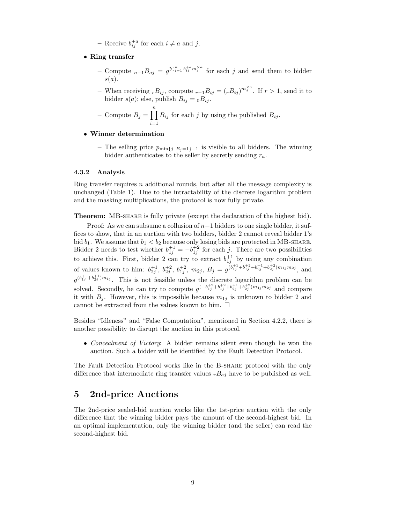– Receive  $b_{ij}^{+a}$  for each  $i \neq a$  and j.

- Ring transfer
	- Compute  $_{n-1}B_{aj} = g^{\sum_{i=1}^{n} b_{ij}^{+a} m_j^{\times a}}$  for each j and send them to bidder  $s(a).$
	- When receiving  $rB_{ij}$ , compute  $r-1B_{ij} = (rB_{ij})^{m_j^{\times a}}$ . If  $r > 1$ , send it to bidder  $s(a)$ ; else, publish  $B_{ij} = {}_0B_{ij}$ .
	- Compute  $B_j = \prod^n$  $i=1$  $B_{ij}$  for each j by using the published  $B_{ij}$ .

#### • Winner determination

– The selling price  $p_{\min\{j\,|\,B_j=1\}-1}$  is visible to all bidders. The winning bidder authenticates to the seller by secretly sending  $r_a$ .

#### 4.3.2 Analysis

Ring transfer requires  $n$  additional rounds, but after all the message complexity is unchanged (Table 1). Due to the intractability of the discrete logarithm problem and the masking multiplications, the protocol is now fully private.

**Theorem:** MB-share is fully private (except the declaration of the highest bid).

Proof: As we can subsume a collusion of  $n-1$  bidders to one single bidder, it suffices to show, that in an auction with two bidders, bidder 2 cannot reveal bidder 1's bid  $b_1$ . We assume that  $b_1 < b_2$  because only losing bids are protected in MB-SHARE. Bidder 2 needs to test whether  $b_{1j}^{+1} = -b_{1j}^{+2}$  for each j. There are two possibilities to achieve this. First, bidder 2 can try to extract  $b_{1j}^{+1}$  by using any combination of values known to him:  $b_{2j}^{+1}$ ,  $b_{2j}^{+2}$ ,  $b_{1j}^{+2}$ ,  $m_{2j}$ ,  $B_j = g^{(b_{1j}^{+1} + b_{1j}^{+2} + b_{2j}^{+1} + b_{2j}^{+2})m_{1j}m_{2j}}$ , and  $g^{(b_{1j}^{+1}+b_{2j}^{+1})m_{1j}}$ . This is not feasible unless the discrete logarithm problem can be solved. Secondly, he can try to compute  $g^{(-b_{1j}^{+2}+b_{1j}^{+2}+b_{2j}^{+1}+b_{2j}^{+2})m_{1j}m_{2j}}$  and compare it with  $B_i$ . However, this is impossible because  $m_{1j}$  is unknown to bidder 2 and cannot be extracted from the values known to him.  $\Box$ 

Besides "Idleness" and "False Computation", mentioned in Section 4.2.2, there is another possibility to disrupt the auction in this protocol.

• Concealment of Victory: A bidder remains silent even though he won the auction. Such a bidder will be identified by the Fault Detection Protocol.

The Fault Detection Protocol works like in the B-share protocol with the only difference that intermediate ring transfer values  $rBa<sub>j</sub>$  have to be published as well.

## 5 2nd-price Auctions

The 2nd-price sealed-bid auction works like the 1st-price auction with the only difference that the winning bidder pays the amount of the second-highest bid. In an optimal implementation, only the winning bidder (and the seller) can read the second-highest bid.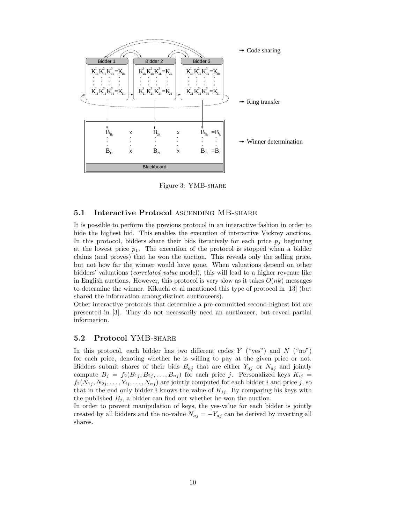

Figure 3: YMB-share

### 5.1 Interactive Protocol ASCENDING MB-SHARE

It is possible to perform the previous protocol in an interactive fashion in order to hide the highest bid. This enables the execution of interactive Vickrey auctions. In this protocol, bidders share their bids iteratively for each price  $p_j$  beginning at the lowest price  $p_1$ . The execution of the protocol is stopped when a bidder claims (and proves) that he won the auction. This reveals only the selling price, but not how far the winner would have gone. When valuations depend on other bidders' valuations (correlated value model), this will lead to a higher revenue like in English auctions. However, this protocol is very slow as it takes  $O(nk)$  messages to determine the winner. Kikuchi et al mentioned this type of protocol in [13] (but shared the information among distinct auctioneers).

Other interactive protocols that determine a pre-committed second-highest bid are presented in [3]. They do not necessarily need an auctioneer, but reveal partial information.

## 5.2 Protocol YMB-share

In this protocol, each bidder has two different codes  $Y$  ("yes") and  $N$  ("no") for each price, denoting whether he is willing to pay at the given price or not. Bidders submit shares of their bids  $B_{aj}$  that are either  $Y_{aj}$  or  $N_{aj}$  and jointly compute  $B_j = f_2(B_{1j}, B_{2j}, \ldots, B_{nj})$  for each price j. Personalized keys  $K_{ij} =$  $f_2(N_{1j}, N_{2j}, \ldots, Y_{ij}, \ldots, N_{nj})$  are jointly computed for each bidder i and price j, so that in the end only bidder i knows the value of  $K_{ij}$ . By comparing his keys with the published  $B_j$ , a bidder can find out whether he won the auction.

In order to prevent manipulation of keys, the yes-value for each bidder is jointly created by all bidders and the no-value  $N_{aj} = -Y_{aj}$  can be derived by inverting all shares.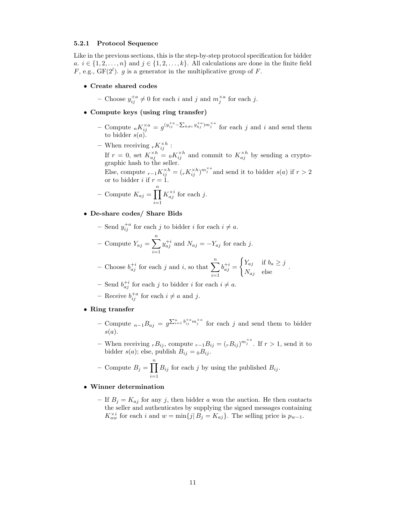#### 5.2.1 Protocol Sequence

Like in the previous sections, this is the step-by-step protocol specification for bidder a.  $i \in \{1, 2, \ldots, n\}$  and  $j \in \{1, 2, \ldots, k\}$ . All calculations are done in the finite field F, e.g.,  $GF(2^l)$ . g is a generator in the multiplicative group of F.

#### • Create shared codes

- Choose  $y_{ij}^{+a} \neq 0$  for each i and j and  $m_j^{\times a}$  for each j.

- Compute keys (using ring transfer)
	- Compute  ${}_{n}K_{ij}^{\times a} = g^{(y_{ij}^{+a} \sum_{h\neq i} y_{hj}^{+a})m_j^{\times a}}$  for each j and i and send them to bidder  $s(a)$ .
	- When receiving  ${}_{r}K_{ij}^{\times h}$ :

If  $r = 0$ , set  $K_{aj}^{\times h} = {}_0K_{ij}^{\times h}$  and commit to  $K_{aj}^{\times h}$  by sending a cryptographic hash to the seller.

Else, compute  $r_{-1}K_{ij}^{\times h} = (r_{ij}K_{ij}^{\times h})^{m_j^{\times a}}$  and send it to bidder  $s(a)$  if  $r > 2$ or to bidder *i* if  $r = 1$ .

- Compute 
$$
K_{aj} = \prod_{i=1}^{n} K_{aj}^{\times i}
$$
 for each j.

#### • De-share codes/ Share Bids

- Send  $y_{ij}^{+a}$  for each j to bidder i for each  $i \neq a$ .

- Compute 
$$
Y_{aj} = \sum_{i=1}^{n} y_{aj}^{+i}
$$
 and  $N_{aj} = -Y_{aj}$  for each j.

- Choose 
$$
b_{aj}^{+i}
$$
 for each j and i, so that  $\sum_{i=1}^{n} b_{aj}^{+i} = \begin{cases} Y_{aj} & \text{if } b_a \geq j \\ N_{aj} & \text{else} \end{cases}$ .

- Send  $b_{aj}^{+i}$  for each j to bidder i for each  $i \neq a$ .
- Receive  $b_{ij}^{+a}$  for each  $i \neq a$  and j.

## • Ring transfer

- Compute  $_{n-1}B_{aj} = g^{\sum_{i=1}^{n} b_{ij}^{+a} m_j^{\times a}}$  for each j and send them to bidder  $s(a).$
- When receiving  $rB_{ij}$ , compute  $r-1B_{ij} = (rB_{ij})^{m_j^{\times a}}$ . If  $r > 1$ , send it to bidder  $s(a)$ ; else, publish  $B_{ij} = {}_0B_{ij}$ .
- Compute  $B_j = \prod^n$  $i=1$  $B_{ij}$  for each j by using the published  $B_{ij}$ .

### • Winner determination

– If  $B_j = K_{aj}$  for any j, then bidder a won the auction. He then contacts the seller and authenticates by supplying the signed messages containing  $K_{aw}^{\times i}$  for each i and  $w = \min\{j | B_j = K_{aj}\}\.$  The selling price is  $p_{w-1}$ .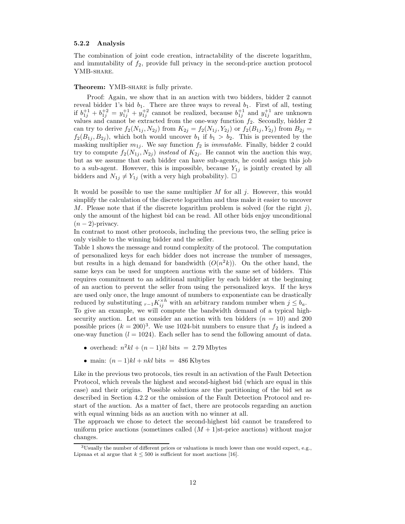#### 5.2.2 Analysis

The combination of joint code creation, intractability of the discrete logarithm, and immutability of  $f_2$ , provide full privacy in the second-price auction protocol YMB-SHARE.

#### Theorem: YMB-SHARE is fully private.

Proof: Again, we show that in an auction with two bidders, bidder 2 cannot reveal bidder 1's bid  $b_1$ . There are three ways to reveal  $b_1$ . First of all, testing if  $b_{1j}^{+1} + b_{1j}^{+2} = y_{1j}^{+1} + y_{1j}^{+2}$  cannot be realized, because  $b_{1j}^{+1}$  and  $y_{1j}^{+1}$  are unknown values and cannot be extracted from the one-way function  $f_2$ . Secondly, bidder 2 can try to derive  $f_2(N_{1j}, N_{2j})$  from  $K_{2j} = f_2(N_{1j}, Y_{2j})$  or  $f_2(B_{1j}, Y_{2j})$  from  $B_{2j} =$  $f_2(B_{1j}, B_{2j})$ , which both would uncover  $b_1$  if  $b_1 > b_2$ . This is prevented by the masking multiplier  $m_{1j}$ . We say function  $f_2$  is *immutable*. Finally, bidder 2 could try to compute  $f_2(N_{1j}, N_{2j})$  instead of  $K_{2j}$ . He cannot win the auction this way, but as we assume that each bidder can have sub-agents, he could assign this job to a sub-agent. However, this is impossible, because  $Y_{1j}$  is jointly created by all bidders and  $N_{1j} \neq Y_{1j}$  (with a very high probability).  $\Box$ 

It would be possible to use the same multiplier M for all  $i$ . However, this would simplify the calculation of the discrete logarithm and thus make it easier to uncover M. Please note that if the discrete logarithm problem is solved (for the right j), only the amount of the highest bid can be read. All other bids enjoy unconditional  $(n-2)$ -privacy.

In contrast to most other protocols, including the previous two, the selling price is only visible to the winning bidder and the seller.

Table 1 shows the message and round complexity of the protocol. The computation of personalized keys for each bidder does not increase the number of messages, but results in a high demand for bandwidth  $(O(n^2k))$ . On the other hand, the same keys can be used for umpteen auctions with the same set of bidders. This requires commitment to an additional multiplier by each bidder at the beginning of an auction to prevent the seller from using the personalized keys. If the keys are used only once, the huge amount of numbers to exponentiate can be drastically reduced by substituting  $r-1K_{ij}^{\times h}$  with an arbitrary random number when  $j \leq b_a$ . To give an example, we will compute the bandwidth demand of a typical highsecurity auction. Let us consider an auction with ten bidders  $(n = 10)$  and 200 possible prices  $(k = 200)^3$ . We use 1024-bit numbers to ensure that  $f_2$  is indeed a one-way function  $(l = 1024)$ . Each seller has to send the following amount of data.

- overhead:  $n^2kl + (n-1)kl$  bits = 2.79 Mbytes
- main:  $(n-1)kl + nkl$  bits = 486 Kbytes

Like in the previous two protocols, ties result in an activation of the Fault Detection Protocol, which reveals the highest and second-highest bid (which are equal in this case) and their origins. Possible solutions are the partitioning of the bid set as described in Section 4.2.2 or the omission of the Fault Detection Protocol and restart of the auction. As a matter of fact, there are protocols regarding an auction with equal winning bids as an auction with no winner at all.

The approach we chose to detect the second-highest bid cannot be transfered to uniform price auctions (sometimes called  $(M + 1)$ st-price auctions) without major changes.

<sup>3</sup>Usually the number of different prices or valuations is much lower than one would expect, e.g., Lipmaa et al argue that  $k \leq 500$  is sufficient for most auctions [16].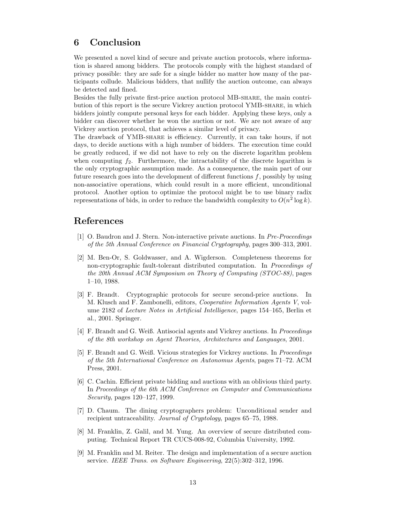## 6 Conclusion

We presented a novel kind of secure and private auction protocols, where information is shared among bidders. The protocols comply with the highest standard of privacy possible: they are safe for a single bidder no matter how many of the participants collude. Malicious bidders, that nullify the auction outcome, can always be detected and fined.

Besides the fully private first-price auction protocol MB-share, the main contribution of this report is the secure Vickrey auction protocol YMB-share, in which bidders jointly compute personal keys for each bidder. Applying these keys, only a bidder can discover whether he won the auction or not. We are not aware of any Vickrey auction protocol, that achieves a similar level of privacy.

The drawback of YMB-share is efficiency. Currently, it can take hours, if not days, to decide auctions with a high number of bidders. The execution time could be greatly reduced, if we did not have to rely on the discrete logarithm problem when computing  $f_2$ . Furthermore, the intractability of the discrete logarithm is the only cryptographic assumption made. As a consequence, the main part of our future research goes into the development of different functions  $f$ , possibly by using non-associative operations, which could result in a more efficient, unconditional protocol. Another option to optimize the protocol might be to use binary radix representations of bids, in order to reduce the bandwidth complexity to  $O(n^2 \log k)$ .

## References

- [1] O. Baudron and J. Stern. Non-interactive private auctions. In Pre-Proceedings of the 5th Annual Conference on Financial Cryptography, pages 300–313, 2001.
- [2] M. Ben-Or, S. Goldwasser, and A. Wigderson. Completeness theorems for non-cryptographic fault-tolerant distributed computation. In Proceedings of the 20th Annual ACM Symposium on Theory of Computing (STOC-88), pages 1–10, 1988.
- [3] F. Brandt. Cryptographic protocols for secure second-price auctions. In M. Klusch and F. Zambonelli, editors, Cooperative Information Agents V, volume 2182 of Lecture Notes in Artificial Intelligence, pages 154–165, Berlin et al., 2001. Springer.
- [4] F. Brandt and G. Weiß. Antisocial agents and Vickrey auctions. In Proceedings of the 8th workshop on Agent Theories, Architectures and Languages, 2001.
- [5] F. Brandt and G. Weiß. Vicious strategies for Vickrey auctions. In Proceedings of the 5th International Conference on Autonomus Agents, pages 71–72. ACM Press, 2001.
- [6] C. Cachin. Efficient private bidding and auctions with an oblivious third party. In Proceedings of the 6th ACM Conference on Computer and Communications Security, pages 120–127, 1999.
- [7] D. Chaum. The dining cryptographers problem: Unconditional sender and recipient untraceability. Journal of Cryptology, pages 65–75, 1988.
- [8] M. Franklin, Z. Galil, and M. Yung. An overview of secure distributed computing. Technical Report TR CUCS-008-92, Columbia University, 1992.
- [9] M. Franklin and M. Reiter. The design and implementation of a secure auction service. IEEE Trans. on Software Engineering, 22(5):302–312, 1996.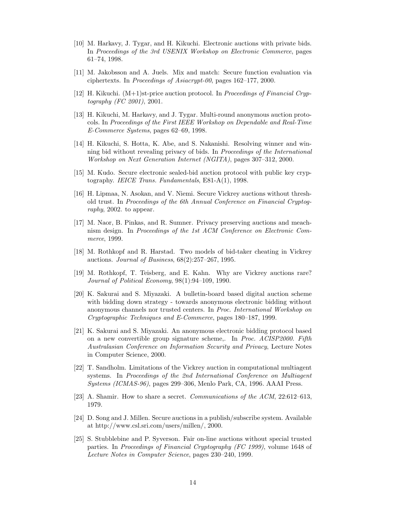- [10] M. Harkavy, J. Tygar, and H. Kikuchi. Electronic auctions with private bids. In Proceedings of the 3rd USENIX Workshop on Electronic Commerce, pages 61–74, 1998.
- [11] M. Jakobsson and A. Juels. Mix and match: Secure function evaluation via ciphertexts. In Proceedings of Asiacrypt-00, pages 162–177, 2000.
- [12] H. Kikuchi. (M+1)st-price auction protocol. In Proceedings of Financial Cryptography (FC 2001), 2001.
- [13] H. Kikuchi, M. Harkavy, and J. Tygar. Multi-round anonymous auction protocols. In Proceedings of the First IEEE Workshop on Dependable and Real-Time E-Commerce Systems, pages 62–69, 1998.
- [14] H. Kikuchi, S. Hotta, K. Abe, and S. Nakanishi. Resolving winner and winning bid without revealing privacy of bids. In Proceedings of the International Workshop on Next Generation Internet (NGITA), pages 307–312, 2000.
- [15] M. Kudo. Secure electronic sealed-bid auction protocol with public key cryptography. IEICE Trans. Fundamentals, E81-A(1), 1998.
- [16] H. Lipmaa, N. Asokan, and V. Niemi. Secure Vickrey auctions without threshold trust. In Proceedings of the 6th Annual Conference on Financial Cryptography, 2002. to appear.
- [17] M. Naor, B. Pinkas, and R. Sumner. Privacy preserving auctions and meachnism design. In Proceedings of the 1st ACM Conference on Electronic Commerce, 1999.
- [18] M. Rothkopf and R. Harstad. Two models of bid-taker cheating in Vickrey auctions. Journal of Business, 68(2):257–267, 1995.
- [19] M. Rothkopf, T. Teisberg, and E. Kahn. Why are Vickrey auctions rare? Journal of Political Economy, 98(1):94–109, 1990.
- [20] K. Sakurai and S. Miyazaki. A bulletin-board based digital auction scheme with bidding down strategy - towards anonymous electronic bidding without anonymous channels nor trusted centers. In Proc. International Workshop on Cryptographic Techniques and E-Commerce, pages 180–187, 1999.
- [21] K. Sakurai and S. Miyazaki. An anonymous electronic bidding protocol based on a new convertible group signature scheme,. In Proc. ACISP2000. Fifth Australasian Conference on Information Security and Privacy, Lecture Notes in Computer Science, 2000.
- [22] T. Sandholm. Limitations of the Vickrey auction in computational multiagent systems. In Proceedings of the 2nd International Conference on Multiagent Systems (ICMAS-96), pages 299–306, Menlo Park, CA, 1996. AAAI Press.
- [23] A. Shamir. How to share a secret. Communications of the ACM, 22:612–613, 1979.
- [24] D. Song and J. Millen. Secure auctions in a publish/subscribe system. Available at http://www.csl.sri.com/users/millen/, 2000.
- [25] S. Stubblebine and P. Syverson. Fair on-line auctions without special trusted parties. In Proceedings of Financial Cryptography (FC 1999), volume 1648 of Lecture Notes in Computer Science, pages 230–240, 1999.